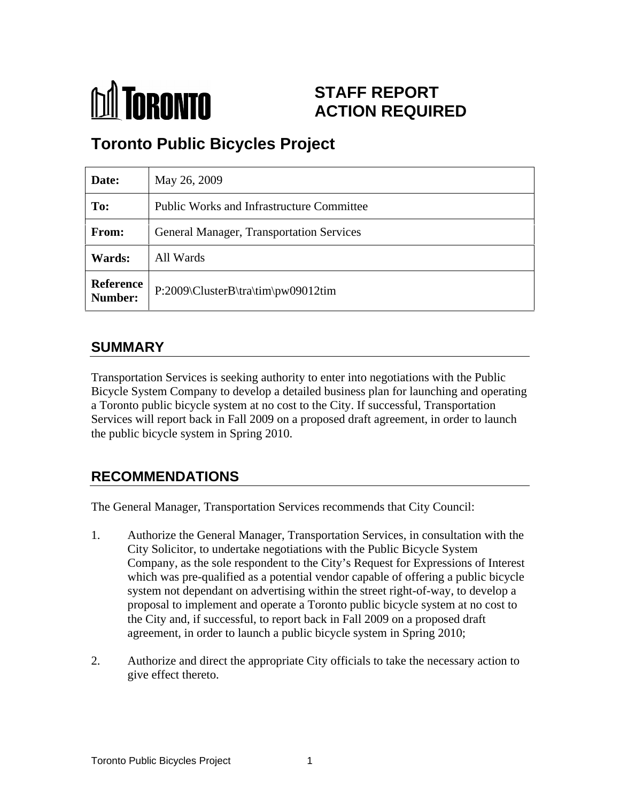

# **STAFF REPORT ACTION REQUIRED**

# **Toronto Public Bicycles Project**

| Date:         | May 26, 2009                                     |
|---------------|--------------------------------------------------|
| To:           | <b>Public Works and Infrastructure Committee</b> |
| From:         | General Manager, Transportation Services         |
| <b>Wards:</b> | All Wards                                        |
|               | Reference<br>P:2009\ClusterB\tra\tim\pw09012tim  |

## **SUMMARY**

Transportation Services is seeking authority to enter into negotiations with the Public Bicycle System Company to develop a detailed business plan for launching and operating a Toronto public bicycle system at no cost to the City. If successful, Transportation Services will report back in Fall 2009 on a proposed draft agreement, in order to launch the public bicycle system in Spring 2010.

## **RECOMMENDATIONS**

The General Manager, Transportation Services recommends that City Council:

- 1. Authorize the General Manager, Transportation Services, in consultation with the City Solicitor, to undertake negotiations with the Public Bicycle System Company, as the sole respondent to the City's Request for Expressions of Interest which was pre-qualified as a potential vendor capable of offering a public bicycle system not dependant on advertising within the street right-of-way, to develop a proposal to implement and operate a Toronto public bicycle system at no cost to the City and, if successful, to report back in Fall 2009 on a proposed draft agreement, in order to launch a public bicycle system in Spring 2010;
- 2. Authorize and direct the appropriate City officials to take the necessary action to give effect thereto.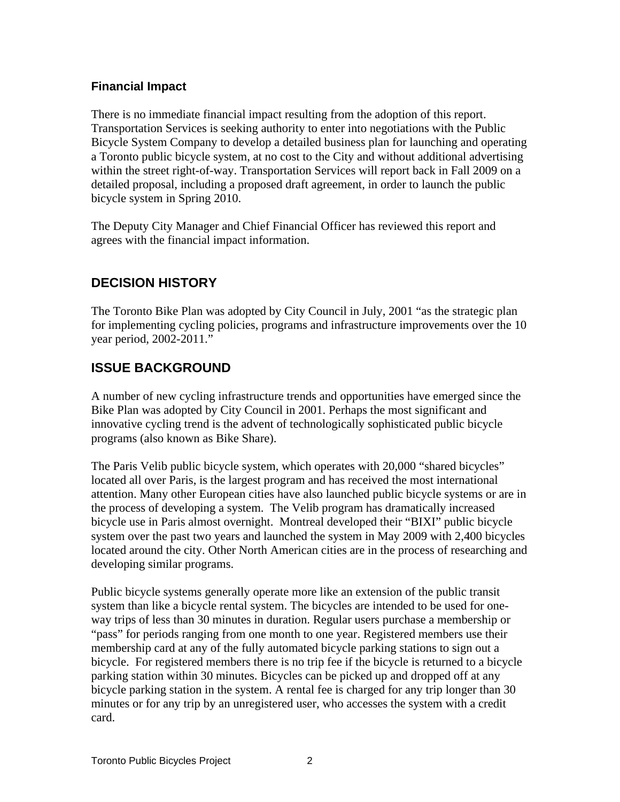#### **Financial Impact**

There is no immediate financial impact resulting from the adoption of this report. Transportation Services is seeking authority to enter into negotiations with the Public Bicycle System Company to develop a detailed business plan for launching and operating a Toronto public bicycle system, at no cost to the City and without additional advertising within the street right-of-way. Transportation Services will report back in Fall 2009 on a detailed proposal, including a proposed draft agreement, in order to launch the public bicycle system in Spring 2010.

The Deputy City Manager and Chief Financial Officer has reviewed this report and agrees with the financial impact information.

## **DECISION HISTORY**

The Toronto Bike Plan was adopted by City Council in July, 2001 "as the strategic plan for implementing cycling policies, programs and infrastructure improvements over the 10 year period, 2002-2011."

### **ISSUE BACKGROUND**

A number of new cycling infrastructure trends and opportunities have emerged since the Bike Plan was adopted by City Council in 2001. Perhaps the most significant and innovative cycling trend is the advent of technologically sophisticated public bicycle programs (also known as Bike Share).

The Paris Velib public bicycle system, which operates with 20,000 "shared bicycles" located all over Paris, is the largest program and has received the most international attention. Many other European cities have also launched public bicycle systems or are in the process of developing a system. The Velib program has dramatically increased bicycle use in Paris almost overnight. Montreal developed their "BIXI" public bicycle system over the past two years and launched the system in May 2009 with 2,400 bicycles located around the city. Other North American cities are in the process of researching and developing similar programs.

Public bicycle systems generally operate more like an extension of the public transit system than like a bicycle rental system. The bicycles are intended to be used for one way trips of less than 30 minutes in duration. Regular users purchase a membership or "pass" for periods ranging from one month to one year. Registered members use their membership card at any of the fully automated bicycle parking stations to sign out a bicycle. For registered members there is no trip fee if the bicycle is returned to a bicycle parking station within 30 minutes. Bicycles can be picked up and dropped off at any bicycle parking station in the system. A rental fee is charged for any trip longer than 30 minutes or for any trip by an unregistered user, who accesses the system with a credit card.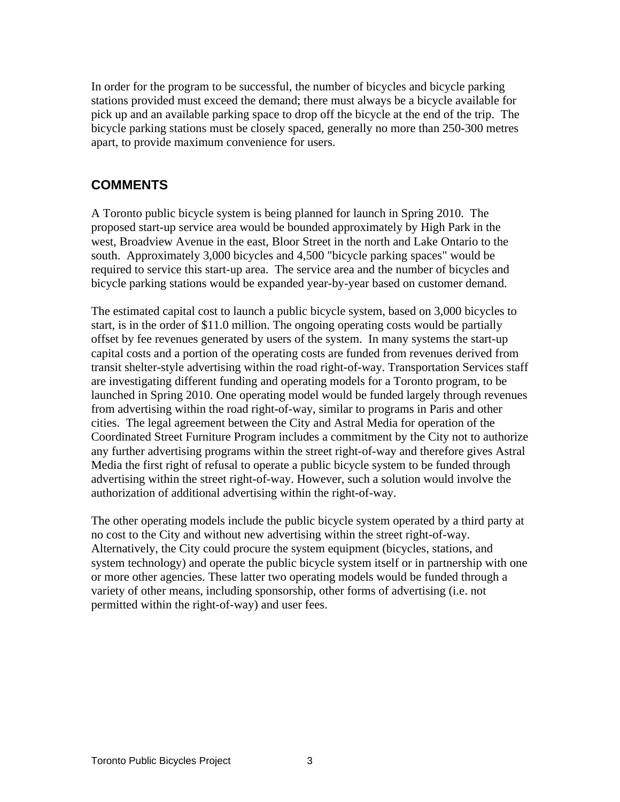In order for the program to be successful, the number of bicycles and bicycle parking stations provided must exceed the demand; there must always be a bicycle available for pick up and an available parking space to drop off the bicycle at the end of the trip. The bicycle parking stations must be closely spaced, generally no more than 250-300 metres apart, to provide maximum convenience for users.

#### **COMMENTS**

A Toronto public bicycle system is being planned for launch in Spring 2010. The proposed start-up service area would be bounded approximately by High Park in the west, Broadview Avenue in the east, Bloor Street in the north and Lake Ontario to the south. Approximately 3,000 bicycles and 4,500 "bicycle parking spaces" would be required to service this start-up area. The service area and the number of bicycles and bicycle parking stations would be expanded year-by-year based on customer demand.

The estimated capital cost to launch a public bicycle system, based on 3,000 bicycles to start, is in the order of \$11.0 million. The ongoing operating costs would be partially offset by fee revenues generated by users of the system. In many systems the start-up capital costs and a portion of the operating costs are funded from revenues derived from transit shelter-style advertising within the road right-of-way. Transportation Services staff are investigating different funding and operating models for a Toronto program, to be launched in Spring 2010. One operating model would be funded largely through revenues from advertising within the road right-of-way, similar to programs in Paris and other cities. The legal agreement between the City and Astral Media for operation of the Coordinated Street Furniture Program includes a commitment by the City not to authorize any further advertising programs within the street right-of-way and therefore gives Astral Media the first right of refusal to operate a public bicycle system to be funded through advertising within the street right-of-way. However, such a solution would involve the authorization of additional advertising within the right-of-way.

The other operating models include the public bicycle system operated by a third party at no cost to the City and without new advertising within the street right-of-way. Alternatively, the City could procure the system equipment (bicycles, stations, and system technology) and operate the public bicycle system itself or in partnership with one or more other agencies. These latter two operating models would be funded through a variety of other means, including sponsorship, other forms of advertising (i.e. not permitted within the right-of-way) and user fees.